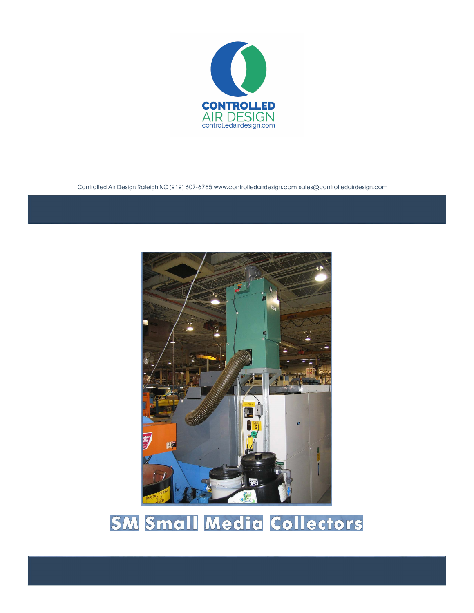

Controlled Air Design Raleigh NC (919) 607-6765 www.controlledairdesign.com sales@controlledairdesign.com



## **SM Small Media Collectors**